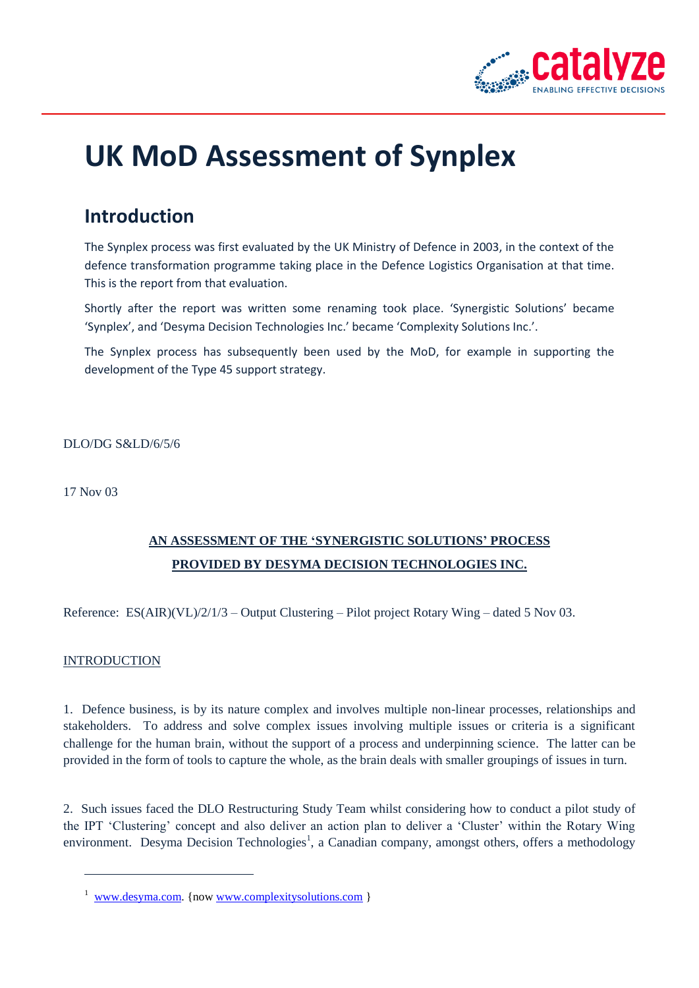

# **UK MoD Assessment of Synplex**

## **Introduction**

The Synplex process was first evaluated by the UK Ministry of Defence in 2003, in the context of the defence transformation programme taking place in the Defence Logistics Organisation at that time. This is the report from that evaluation.

Shortly after the report was written some renaming took place. 'Synergistic Solutions' became 'Synplex', and 'Desyma Decision Technologies Inc.' became 'Complexity Solutions Inc.'.

The Synplex process has subsequently been used by the MoD, for example in supporting the development of the Type 45 support strategy.

DLO/DG S&LD/6/5/6

17 Nov 03

### **AN ASSESSMENT OF THE 'SYNERGISTIC SOLUTIONS' PROCESS PROVIDED BY DESYMA DECISION TECHNOLOGIES INC.**

Reference:  $ES(AIR)(VL)/2/1/3 - Output Clustering - Pilot project Rotary Wing - dated 5 Nov 03.$ 

#### INTRODUCTION

 $\overline{a}$ 

1. Defence business, is by its nature complex and involves multiple non-linear processes, relationships and stakeholders. To address and solve complex issues involving multiple issues or criteria is a significant challenge for the human brain, without the support of a process and underpinning science. The latter can be provided in the form of tools to capture the whole, as the brain deals with smaller groupings of issues in turn.

2. Such issues faced the DLO Restructuring Study Team whilst considering how to conduct a pilot study of the IPT 'Clustering' concept and also deliver an action plan to deliver a 'Cluster' within the Rotary Wing environment. Desyma Decision Technologies<sup>1</sup>, a Canadian company, amongst others, offers a methodology

<sup>&</sup>lt;sup>1</sup> [www.desyma.com.](http://www.desyma.com/) {now [www.complexitysolutions.com](http://www.complexitysolutions.com/)}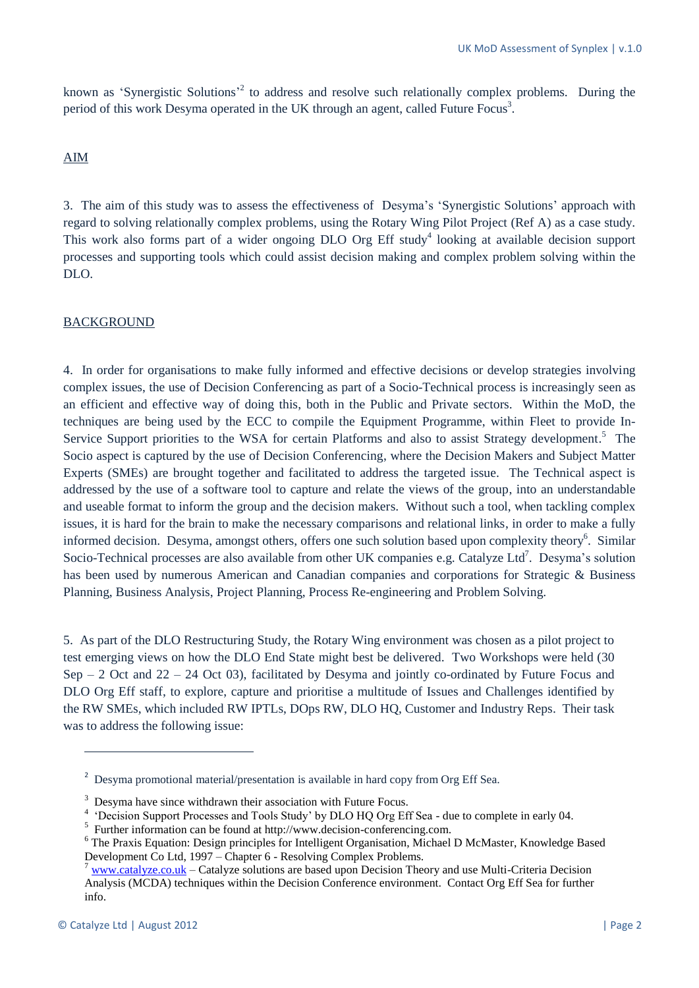known as 'Synergistic Solutions<sup>,2</sup> to address and resolve such relationally complex problems. During the period of this work Desyma operated in the UK through an agent, called Future Focus<sup>3</sup>.

#### AIM

3. The aim of this study was to assess the effectiveness of Desyma's 'Synergistic Solutions' approach with regard to solving relationally complex problems, using the Rotary Wing Pilot Project (Ref A) as a case study. This work also forms part of a wider ongoing DLO Org Eff study<sup>4</sup> looking at available decision support processes and supporting tools which could assist decision making and complex problem solving within the DLO.

#### BACKGROUND

4. In order for organisations to make fully informed and effective decisions or develop strategies involving complex issues, the use of Decision Conferencing as part of a Socio-Technical process is increasingly seen as an efficient and effective way of doing this, both in the Public and Private sectors. Within the MoD, the techniques are being used by the ECC to compile the Equipment Programme, within Fleet to provide In-Service Support priorities to the WSA for certain Platforms and also to assist Strategy development.<sup>5</sup> The Socio aspect is captured by the use of Decision Conferencing, where the Decision Makers and Subject Matter Experts (SMEs) are brought together and facilitated to address the targeted issue. The Technical aspect is addressed by the use of a software tool to capture and relate the views of the group, into an understandable and useable format to inform the group and the decision makers. Without such a tool, when tackling complex issues, it is hard for the brain to make the necessary comparisons and relational links, in order to make a fully informed decision. Desyma, amongst others, offers one such solution based upon complexity theory<sup>6</sup>. Similar Socio-Technical processes are also available from other UK companies e.g. Catalyze Ltd<sup>7</sup>. Desyma's solution has been used by numerous American and Canadian companies and corporations for Strategic & Business Planning, Business Analysis, Project Planning, Process Re-engineering and Problem Solving.

5. As part of the DLO Restructuring Study, the Rotary Wing environment was chosen as a pilot project to test emerging views on how the DLO End State might best be delivered. Two Workshops were held (30 Sep – 2 Oct and  $22 - 24$  Oct 03), facilitated by Desyma and jointly co-ordinated by Future Focus and DLO Org Eff staff, to explore, capture and prioritise a multitude of Issues and Challenges identified by the RW SMEs, which included RW IPTLs, DOps RW, DLO HQ, Customer and Industry Reps. Their task was to address the following issue:

**.** 

<sup>&</sup>lt;sup>2</sup> Desyma promotional material/presentation is available in hard copy from Org Eff Sea.

 $3$  Desyma have since withdrawn their association with Future Focus.

<sup>&</sup>lt;sup>4</sup> 'Decision Support Processes and Tools Study' by DLO HQ Org Eff Sea - due to complete in early 04.

<sup>&</sup>lt;sup>5</sup> Further information can be found at http://www.decision-conferencing.com.

<sup>&</sup>lt;sup>6</sup> The Praxis Equation: Design principles for Intelligent Organisation, Michael D McMaster, Knowledge Based Development Co Ltd, 1997 – Chapter 6 - Resolving Complex Problems.

<sup>7</sup> [www.catalyze.co.uk](http://www.catalyze.co.uk/) – Catalyze solutions are based upon Decision Theory and use Multi-Criteria Decision Analysis (MCDA) techniques within the Decision Conference environment. Contact Org Eff Sea for further info.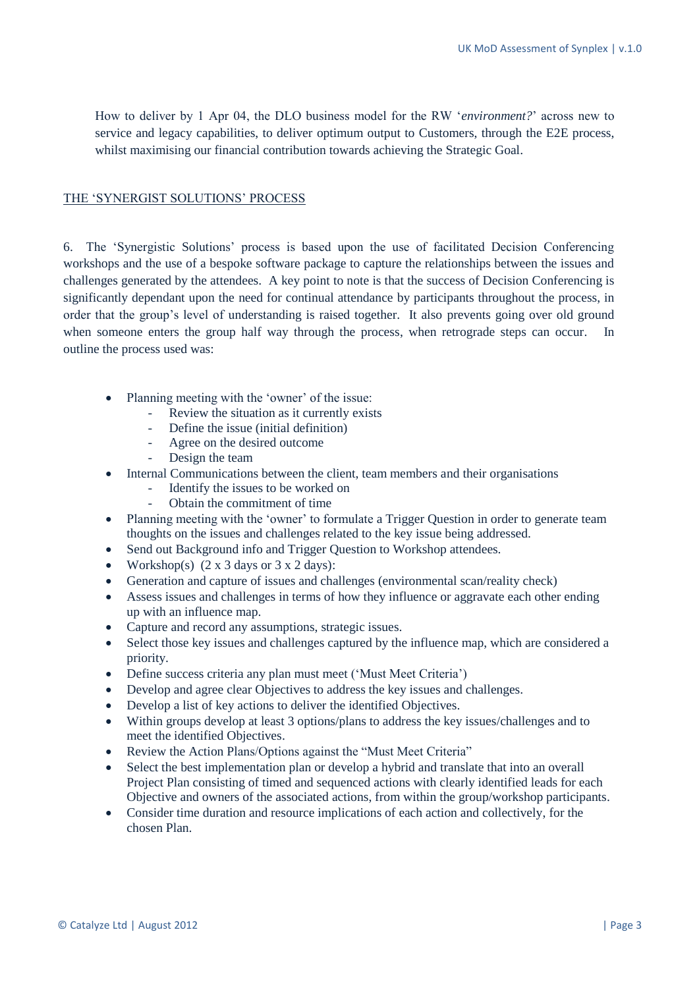How to deliver by 1 Apr 04, the DLO business model for the RW '*environment?*' across new to service and legacy capabilities, to deliver optimum output to Customers, through the E2E process, whilst maximising our financial contribution towards achieving the Strategic Goal.

#### THE 'SYNERGIST SOLUTIONS' PROCESS

6. The 'Synergistic Solutions' process is based upon the use of facilitated Decision Conferencing workshops and the use of a bespoke software package to capture the relationships between the issues and challenges generated by the attendees. A key point to note is that the success of Decision Conferencing is significantly dependant upon the need for continual attendance by participants throughout the process, in order that the group's level of understanding is raised together. It also prevents going over old ground when someone enters the group half way through the process, when retrograde steps can occur. In outline the process used was:

- Planning meeting with the 'owner' of the issue:
	- Review the situation as it currently exists
	- Define the issue (initial definition)
	- Agree on the desired outcome
	- Design the team
- Internal Communications between the client, team members and their organisations
	- Identify the issues to be worked on
		- Obtain the commitment of time
- Planning meeting with the 'owner' to formulate a Trigger Question in order to generate team thoughts on the issues and challenges related to the key issue being addressed.
- Send out Background info and Trigger Question to Workshop attendees.
- Workshop(s)  $(2 \times 3 \text{ days or } 3 \times 2 \text{ days})$ :
- Generation and capture of issues and challenges (environmental scan/reality check)
- Assess issues and challenges in terms of how they influence or aggravate each other ending up with an influence map.
- Capture and record any assumptions, strategic issues.
- Select those key issues and challenges captured by the influence map, which are considered a priority.
- Define success criteria any plan must meet ('Must Meet Criteria')
- Develop and agree clear Objectives to address the key issues and challenges.
- Develop a list of key actions to deliver the identified Objectives.
- Within groups develop at least 3 options/plans to address the key issues/challenges and to meet the identified Objectives.
- Review the Action Plans/Options against the "Must Meet Criteria"
- Select the best implementation plan or develop a hybrid and translate that into an overall Project Plan consisting of timed and sequenced actions with clearly identified leads for each Objective and owners of the associated actions, from within the group/workshop participants.
- Consider time duration and resource implications of each action and collectively, for the chosen Plan.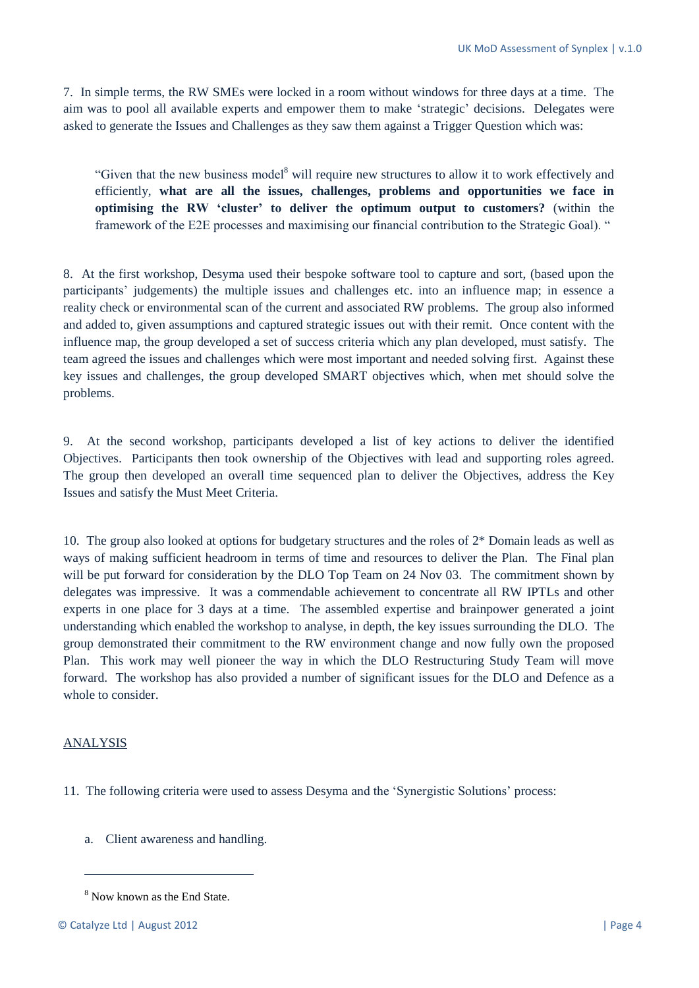7. In simple terms, the RW SMEs were locked in a room without windows for three days at a time. The aim was to pool all available experts and empower them to make 'strategic' decisions. Delegates were asked to generate the Issues and Challenges as they saw them against a Trigger Question which was:

"Given that the new business model<sup>8</sup> will require new structures to allow it to work effectively and efficiently, **what are all the issues, challenges, problems and opportunities we face in optimising the RW 'cluster' to deliver the optimum output to customers?** (within the framework of the E2E processes and maximising our financial contribution to the Strategic Goal). "

8. At the first workshop, Desyma used their bespoke software tool to capture and sort, (based upon the participants' judgements) the multiple issues and challenges etc. into an influence map; in essence a reality check or environmental scan of the current and associated RW problems. The group also informed and added to, given assumptions and captured strategic issues out with their remit. Once content with the influence map, the group developed a set of success criteria which any plan developed, must satisfy. The team agreed the issues and challenges which were most important and needed solving first. Against these key issues and challenges, the group developed SMART objectives which, when met should solve the problems.

9. At the second workshop, participants developed a list of key actions to deliver the identified Objectives. Participants then took ownership of the Objectives with lead and supporting roles agreed. The group then developed an overall time sequenced plan to deliver the Objectives, address the Key Issues and satisfy the Must Meet Criteria.

10. The group also looked at options for budgetary structures and the roles of 2\* Domain leads as well as ways of making sufficient headroom in terms of time and resources to deliver the Plan. The Final plan will be put forward for consideration by the DLO Top Team on 24 Nov 03. The commitment shown by delegates was impressive. It was a commendable achievement to concentrate all RW IPTLs and other experts in one place for 3 days at a time. The assembled expertise and brainpower generated a joint understanding which enabled the workshop to analyse, in depth, the key issues surrounding the DLO. The group demonstrated their commitment to the RW environment change and now fully own the proposed Plan. This work may well pioneer the way in which the DLO Restructuring Study Team will move forward. The workshop has also provided a number of significant issues for the DLO and Defence as a whole to consider.

#### **ANALYSIS**

 $\overline{a}$ 

11. The following criteria were used to assess Desyma and the 'Synergistic Solutions' process:

a. Client awareness and handling.

<sup>8</sup> Now known as the End State.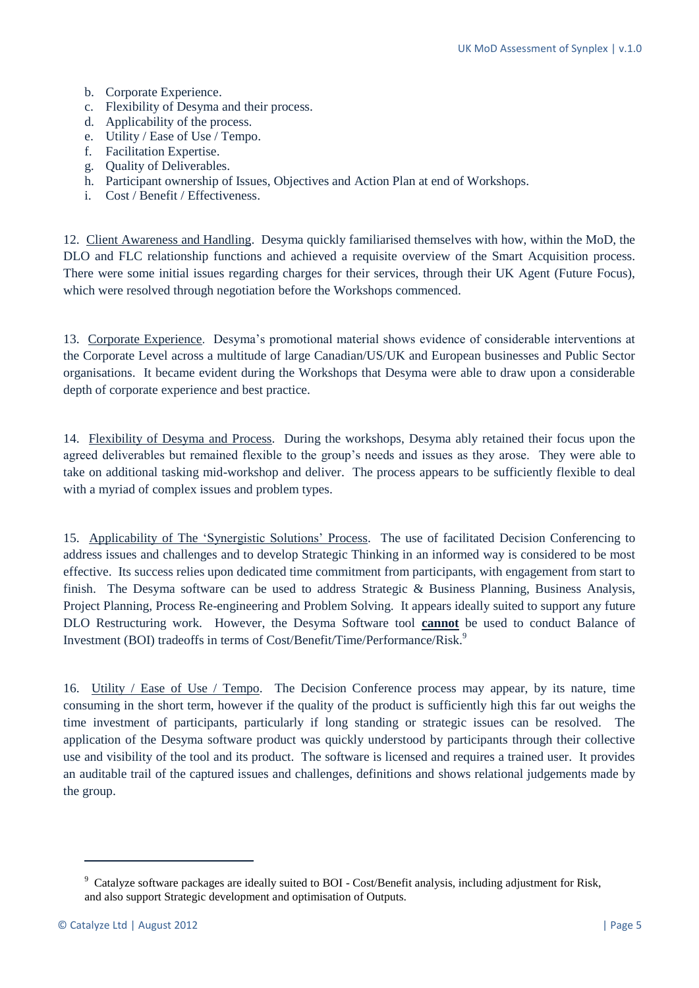- b. Corporate Experience.
- c. Flexibility of Desyma and their process.
- d. Applicability of the process.
- e. Utility / Ease of Use / Tempo.
- f. Facilitation Expertise.
- g. Quality of Deliverables.
- h. Participant ownership of Issues, Objectives and Action Plan at end of Workshops.
- i. Cost / Benefit / Effectiveness.

12. Client Awareness and Handling. Desyma quickly familiarised themselves with how, within the MoD, the DLO and FLC relationship functions and achieved a requisite overview of the Smart Acquisition process. There were some initial issues regarding charges for their services, through their UK Agent (Future Focus), which were resolved through negotiation before the Workshops commenced.

13. Corporate Experience. Desyma's promotional material shows evidence of considerable interventions at the Corporate Level across a multitude of large Canadian/US/UK and European businesses and Public Sector organisations. It became evident during the Workshops that Desyma were able to draw upon a considerable depth of corporate experience and best practice.

14. Flexibility of Desyma and Process. During the workshops, Desyma ably retained their focus upon the agreed deliverables but remained flexible to the group's needs and issues as they arose. They were able to take on additional tasking mid-workshop and deliver. The process appears to be sufficiently flexible to deal with a myriad of complex issues and problem types.

15. Applicability of The 'Synergistic Solutions' Process. The use of facilitated Decision Conferencing to address issues and challenges and to develop Strategic Thinking in an informed way is considered to be most effective. Its success relies upon dedicated time commitment from participants, with engagement from start to finish. The Desyma software can be used to address Strategic & Business Planning, Business Analysis, Project Planning, Process Re-engineering and Problem Solving. It appears ideally suited to support any future DLO Restructuring work. However, the Desyma Software tool **cannot** be used to conduct Balance of Investment (BOI) tradeoffs in terms of Cost/Benefit/Time/Performance/Risk.<sup>9</sup>

16. Utility / Ease of Use / Tempo. The Decision Conference process may appear, by its nature, time consuming in the short term, however if the quality of the product is sufficiently high this far out weighs the time investment of participants, particularly if long standing or strategic issues can be resolved. The application of the Desyma software product was quickly understood by participants through their collective use and visibility of the tool and its product. The software is licensed and requires a trained user. It provides an auditable trail of the captured issues and challenges, definitions and shows relational judgements made by the group.

**.** 

<sup>&</sup>lt;sup>9</sup> Catalyze software packages are ideally suited to BOI - Cost/Benefit analysis, including adjustment for Risk, and also support Strategic development and optimisation of Outputs.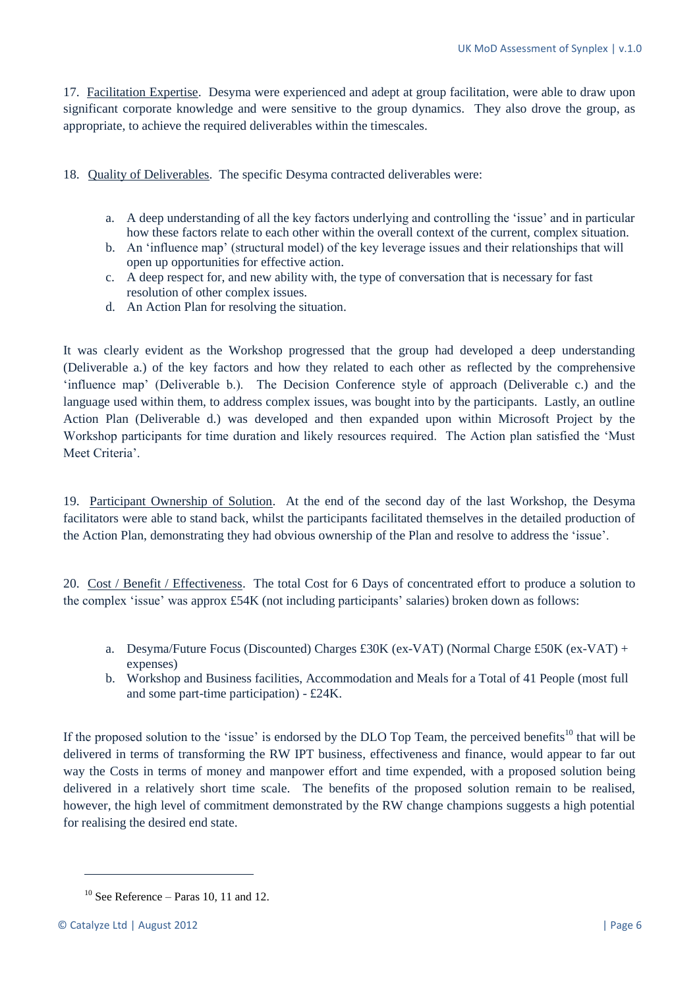17. Facilitation Expertise. Desyma were experienced and adept at group facilitation, were able to draw upon significant corporate knowledge and were sensitive to the group dynamics. They also drove the group, as appropriate, to achieve the required deliverables within the timescales.

18. Quality of Deliverables. The specific Desyma contracted deliverables were:

- a. A deep understanding of all the key factors underlying and controlling the 'issue' and in particular how these factors relate to each other within the overall context of the current, complex situation.
- b. An 'influence map' (structural model) of the key leverage issues and their relationships that will open up opportunities for effective action.
- c. A deep respect for, and new ability with, the type of conversation that is necessary for fast resolution of other complex issues.
- d. An Action Plan for resolving the situation.

It was clearly evident as the Workshop progressed that the group had developed a deep understanding (Deliverable a.) of the key factors and how they related to each other as reflected by the comprehensive 'influence map' (Deliverable b.). The Decision Conference style of approach (Deliverable c.) and the language used within them, to address complex issues, was bought into by the participants. Lastly, an outline Action Plan (Deliverable d.) was developed and then expanded upon within Microsoft Project by the Workshop participants for time duration and likely resources required. The Action plan satisfied the 'Must Meet Criteria'.

19. Participant Ownership of Solution. At the end of the second day of the last Workshop, the Desyma facilitators were able to stand back, whilst the participants facilitated themselves in the detailed production of the Action Plan, demonstrating they had obvious ownership of the Plan and resolve to address the 'issue'.

20. Cost / Benefit / Effectiveness. The total Cost for 6 Days of concentrated effort to produce a solution to the complex 'issue' was approx £54K (not including participants' salaries) broken down as follows:

- a. Desyma/Future Focus (Discounted) Charges £30K (ex-VAT) (Normal Charge £50K (ex-VAT) + expenses)
- b. Workshop and Business facilities, Accommodation and Meals for a Total of 41 People (most full and some part-time participation) - £24K.

If the proposed solution to the 'issue' is endorsed by the DLO Top Team, the perceived benefits<sup>10</sup> that will be delivered in terms of transforming the RW IPT business, effectiveness and finance, would appear to far out way the Costs in terms of money and manpower effort and time expended, with a proposed solution being delivered in a relatively short time scale. The benefits of the proposed solution remain to be realised, however, the high level of commitment demonstrated by the RW change champions suggests a high potential for realising the desired end state.

 $\overline{a}$ 

 $10$  See Reference – Paras 10, 11 and 12.